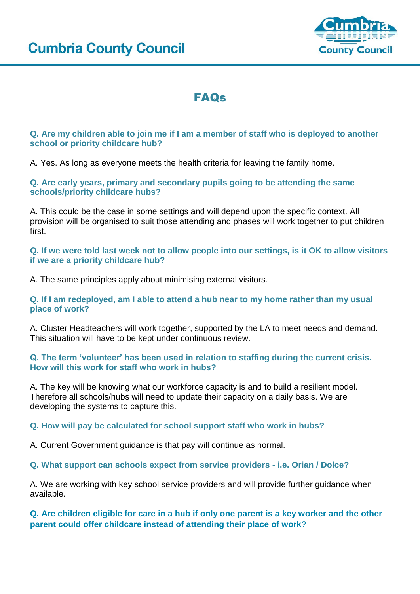

# FAQs

## **Q. Are my children able to join me if I am a member of staff who is deployed to another school or priority childcare hub?**

A. Yes. As long as everyone meets the health criteria for leaving the family home.

## **Q. Are early years, primary and secondary pupils going to be attending the same schools/priority childcare hubs?**

A. This could be the case in some settings and will depend upon the specific context. All provision will be organised to suit those attending and phases will work together to put children first.

**Q. If we were told last week not to allow people into our settings, is it OK to allow visitors if we are a priority childcare hub?**

A. The same principles apply about minimising external visitors.

**Q. If I am redeployed, am I able to attend a hub near to my home rather than my usual place of work?**

A. Cluster Headteachers will work together, supported by the LA to meet needs and demand. This situation will have to be kept under continuous review.

**Q. The term 'volunteer' has been used in relation to staffing during the current crisis. How will this work for staff who work in hubs?**

A. The key will be knowing what our workforce capacity is and to build a resilient model. Therefore all schools/hubs will need to update their capacity on a daily basis. We are developing the systems to capture this.

#### **Q. How will pay be calculated for school support staff who work in hubs?**

A. Current Government guidance is that pay will continue as normal.

**Q. What support can schools expect from service providers - i.e. Orian / Dolce?**

A. We are working with key school service providers and will provide further guidance when available.

**Q. Are children eligible for care in a hub if only one parent is a key worker and the other parent could offer childcare instead of attending their place of work?**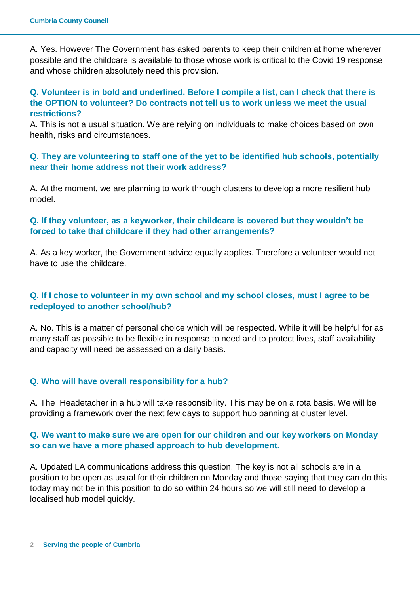A. Yes. However The Government has asked parents to keep their children at home wherever possible and the childcare is available to those whose work is critical to the Covid 19 response and whose children absolutely need this provision.

# **Q. Volunteer is in bold and underlined. Before I compile a list, can I check that there is the OPTION to volunteer? Do contracts not tell us to work unless we meet the usual restrictions?**

A. This is not a usual situation. We are relying on individuals to make choices based on own health, risks and circumstances.

# **Q. They are volunteering to staff one of the yet to be identified hub schools, potentially near their home address not their work address?**

A. At the moment, we are planning to work through clusters to develop a more resilient hub model.

# **Q. If they volunteer, as a keyworker, their childcare is covered but they wouldn't be forced to take that childcare if they had other arrangements?**

A. As a key worker, the Government advice equally applies. Therefore a volunteer would not have to use the childcare.

# **Q. If I chose to volunteer in my own school and my school closes, must I agree to be redeployed to another school/hub?**

A. No. This is a matter of personal choice which will be respected. While it will be helpful for as many staff as possible to be flexible in response to need and to protect lives, staff availability and capacity will need be assessed on a daily basis.

# **Q. Who will have overall responsibility for a hub?**

A. The Headetacher in a hub will take responsibility. This may be on a rota basis. We will be providing a framework over the next few days to support hub panning at cluster level.

## **Q. We want to make sure we are open for our children and our key workers on Monday so can we have a more phased approach to hub development.**

A. Updated LA communications address this question. The key is not all schools are in a position to be open as usual for their children on Monday and those saying that they can do this today may not be in this position to do so within 24 hours so we will still need to develop a localised hub model quickly.